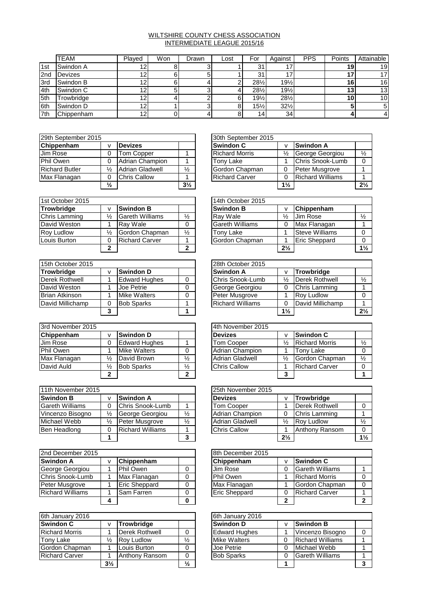## WILTSHIRE COUNTY CHESS ASSOCIATION INTERMEDIATE LEAGUE 2015/16

|     | <b>TEAM</b>    | Plaved | Won | Drawn | Lost | For             | Against         | <b>PPS</b> | Points | Attainable      |
|-----|----------------|--------|-----|-------|------|-----------------|-----------------|------------|--------|-----------------|
| 1st | Swindon A      | 12     |     |       |      | 31<br>د         |                 |            | 19     | 19              |
| 2nd | <b>Devizes</b> | 12     |     |       |      | 31              | 17              |            |        |                 |
| 3rd | Swindon B      | 12     |     |       |      | 281/2           | 19%             |            | 16     | 16 <sub>l</sub> |
| 4th | Swindon C      | 12     |     |       |      | $28\frac{1}{2}$ | $19\frac{1}{2}$ |            | 13     | 13 <sub>l</sub> |
| 5th | Trowbridge     | 12     |     |       |      | $19\frac{1}{2}$ | $28\frac{1}{2}$ |            | 10     | 10 <sup>1</sup> |
| 6th | Swindon D      | 12     |     |       |      | $15\frac{1}{2}$ | $32\frac{1}{2}$ |            |        | 5.              |
| 7th | Chippenham     | 12     |     |       |      | 14 <sub>1</sub> | 34 <sub>1</sub> |            |        |                 |

| 29th September 2015   |               |                        | 30th September 2015 |  |                       |                |                         |
|-----------------------|---------------|------------------------|---------------------|--|-----------------------|----------------|-------------------------|
| Chippenham            |               | <b>Devizes</b>         |                     |  | Swindon C             |                | <b>Swindon A</b>        |
| Jim Rose              |               | Tom Copper             |                     |  | <b>Richard Morris</b> | ⅛              | George Georgiou         |
| Phil Owen             |               | Adrian Champion        |                     |  | Tony Lake             |                | Chris Snook-Lum         |
| <b>Richard Butler</b> | $\frac{1}{2}$ | <b>Adrian Gladwell</b> | $\frac{1}{2}$       |  | Gordon Chapman        |                | Peter Musgrove          |
| Max Flanagan          |               | <b>Chris Callow</b>    |                     |  | <b>Richard Carver</b> |                | <b>Richard Williams</b> |
|                       | $\frac{1}{2}$ |                        | $3\frac{1}{2}$      |  |                       | $1\frac{1}{2}$ |                         |

| 1st October 2015  |               |                        |               | 14th October 2015      |                |                       |
|-------------------|---------------|------------------------|---------------|------------------------|----------------|-----------------------|
| <b>Trowbridge</b> |               | <b>Swindon B</b>       |               | <b>Swindon B</b>       | v              | Chippenham            |
| Chris Lamming     | ⅓             | <b>Gareth Williams</b> | $\frac{1}{2}$ | Ray Wale               | $\frac{1}{2}$  | Jim Rose              |
| David Weston      |               | Ray Wale               |               | <b>Gareth Williams</b> | 0              | Max Flanagan          |
| Rov Ludlow        | $\frac{1}{2}$ | Gordon Chapman         | $\frac{1}{2}$ | Tony Lake              |                | <b>Steve Williams</b> |
| Louis Burton      |               | <b>Richard Carver</b>  |               | Gordon Chapman         |                | <b>Eric Sheppard</b>  |
|                   | 2             |                        | 2             |                        | $2\frac{1}{2}$ |                       |

| 15th October 2015     |                      |   | 28th October 2015       |                |                   |
|-----------------------|----------------------|---|-------------------------|----------------|-------------------|
| Trowbridge            | <b>Swindon D</b>     |   | <b>Swindon A</b>        |                | Trowbridge        |
| Derek Rothwell        | <b>Edward Hughes</b> |   | Chris Snook-Lumb        | ⅓              | Derek Rothwell    |
| David Weston          | Joe Petrie           | 0 | George Georgiou         |                | Chris Lamming     |
| <b>Brian Atkinson</b> | <b>Mike Walters</b>  |   | Peter Musgrove          |                | <b>Rov Ludlow</b> |
| David Millichamp      | <b>Bob Sparks</b>    |   | <b>Richard Williams</b> |                | David Millichamp  |
|                       |                      |   |                         | $1\frac{1}{2}$ |                   |

| 3rd November 2015 |   |                      |               | 4th November 2015      |               |                       |  |  |
|-------------------|---|----------------------|---------------|------------------------|---------------|-----------------------|--|--|
| Chippenham        |   | <b>Swindon D</b>     |               | <b>Devizes</b>         |               | <b>Swindon C</b>      |  |  |
| Jim Rose          |   | <b>Edward Hughes</b> |               | <b>Tom Cooper</b>      | $\frac{1}{2}$ | <b>Richard Morris</b> |  |  |
| Phil Owen         |   | Mike Walters         | 0             | Adrian Champion        |               | Tony Lake             |  |  |
| Max Flanagan      | ℅ | David Brown          | $\frac{1}{2}$ | <b>Adrian Gladwell</b> | $\frac{1}{2}$ | Gordon Chapman        |  |  |
| David Auld        | ⅓ | <b>Bob Sparks</b>    | $\frac{1}{2}$ | <b>Chris Callow</b>    |               | <b>Richard Carver</b> |  |  |
|                   | ◠ |                      | ◠             |                        | ≏<br>J.       |                       |  |  |

| 11th November 2015     |               |                         |               | 25th November 2015     |      |                   |
|------------------------|---------------|-------------------------|---------------|------------------------|------|-------------------|
| <b>Swindon B</b>       |               | Swindon A               |               | <b>Devizes</b>         |      | <b>Trowbridge</b> |
| <b>Gareth Williams</b> |               | Chris Snook-Lumb        |               | <b>Tom Cooper</b>      |      | Derek Rothwell    |
| Vincenzo Bisogno       | $\frac{1}{2}$ | George Georgiou         | $\frac{1}{2}$ | Adrian Champion        |      | Chris Lamming     |
| Michael Webb           | $\frac{1}{2}$ | Peter Musgrove          | $\frac{1}{2}$ | <b>Adrian Gladwell</b> | ⅓    | <b>Rov Ludlow</b> |
| Ben Headlong           |               | <b>Richard Williams</b> |               | <b>Chris Callow</b>    |      | Anthony Ransom    |
|                        |               |                         |               |                        | 21/2 |                   |

| 2nd December 2015                |  |                      |           | 8th December 2015    |                       |                        |  |  |
|----------------------------------|--|----------------------|-----------|----------------------|-----------------------|------------------------|--|--|
| <b>Swindon A</b>                 |  | Chippenham           |           | Chippenham           | v                     | <b>Swindon C</b>       |  |  |
| George Georgiou                  |  | Phil Owen            | 0         | Jim Rose             |                       | <b>Gareth Williams</b> |  |  |
| Chris Snook-Lumb<br>Max Flanagan |  | 0                    | Phil Owen |                      | <b>Richard Morris</b> |                        |  |  |
| Peter Musgrove                   |  | <b>Eric Sheppard</b> | 0         | Max Flanagan         |                       | Gordon Chapman         |  |  |
| <b>Richard Williams</b>          |  | <b>Sam Farren</b>    | 0         | <b>Eric Sheppard</b> |                       | <b>Richard Carver</b>  |  |  |
|                                  |  |                      | 0         |                      | ◠                     |                        |  |  |

| 6th January 2016      |                |                   |               | 6th January 2016     |   |                         |
|-----------------------|----------------|-------------------|---------------|----------------------|---|-------------------------|
| <b>Swindon C</b>      |                | <b>Trowbridge</b> |               | <b>Swindon D</b>     | v | <b>Swindon B</b>        |
| <b>Richard Morris</b> |                | Derek Rothwell    | 0             | <b>Edward Hughes</b> |   | Vincenzo Bisogno        |
| <b>Tony Lake</b>      | ⅓              | <b>Roy Ludlow</b> | $\frac{1}{2}$ | <b>Mike Walters</b>  | 0 | <b>Richard Williams</b> |
| Gordon Chapman        |                | Louis Burton      | 0             | Joe Petrie           | 0 | Michael Webb            |
| <b>Richard Carver</b> |                | Anthony Ransom    | 0             | <b>Bob Sparks</b>    | 0 | <b>Gareth Williams</b>  |
|                       | $3\frac{1}{2}$ |                   | $\frac{1}{2}$ |                      |   |                         |

|               |                        |                | 30th September 2015   |                |                         |                |
|---------------|------------------------|----------------|-----------------------|----------------|-------------------------|----------------|
| v             | <b>Devizes</b>         |                | <b>Swindon C</b>      |                | <b>Swindon A</b>        |                |
| 0             | <b>Tom Copper</b>      |                | <b>Richard Morris</b> | ⅓              | George Georgiou         | $\frac{1}{2}$  |
| 0             | <b>Adrian Champion</b> |                | Tonv Lake             |                | Chris Snook-Lumb        |                |
| ⅓             | <b>Adrian Gladwell</b> | $\frac{1}{2}$  | Gordon Chapman        |                | Peter Musgrove          |                |
| 0             | <b>Chris Callow</b>    |                | <b>Richard Carver</b> |                | <b>Richard Williams</b> |                |
| $\frac{1}{2}$ |                        | $3\frac{1}{2}$ |                       | $1\frac{1}{2}$ |                         | $2\frac{1}{2}$ |

|               |                        |               | 14th October 2015      |                |                       |                |
|---------------|------------------------|---------------|------------------------|----------------|-----------------------|----------------|
| v             | <b>Swindon B</b>       |               | <b>Swindon B</b>       |                | Chippenham            |                |
| $\frac{1}{2}$ | <b>Gareth Williams</b> | $\frac{1}{2}$ | Ray Wale               | $\frac{1}{2}$  | <b>Jim Rose</b>       | $\frac{1}{2}$  |
| 1             | Ray Wale               |               | <b>Gareth Williams</b> |                | Max Flanagan          |                |
| ⅛             | Gordon Chapman         | $\frac{1}{2}$ | Tony Lake              |                | <b>Steve Williams</b> |                |
| 0             | <b>Richard Carver</b>  |               | Gordon Chapman         |                | <b>Eric Sheppard</b>  |                |
| $\mathbf{2}$  |                        | າ             |                        | $2\frac{1}{2}$ |                       | $1\frac{1}{2}$ |

|   |                      | 28th October 2015       |                |                       |                |
|---|----------------------|-------------------------|----------------|-----------------------|----------------|
| v | <b>Swindon D</b>     | <b>Swindon A</b>        |                | <b>Trowbridge</b>     |                |
|   | <b>Edward Hughes</b> | Chris Snook-Lumb        | $\frac{1}{2}$  | <b>Derek Rothwell</b> | $\frac{1}{2}$  |
|   | Joe Petrie           | George Georgiou         |                | Chris Lamming         |                |
|   | <b>Mike Walters</b>  | Peter Musgrove          |                | <b>Rov Ludlow</b>     |                |
| 0 | <b>Bob Sparks</b>    | <b>Richard Williams</b> |                | David Millichamp      |                |
| 3 |                      |                         | $1\frac{1}{2}$ |                       | $2\frac{1}{2}$ |

|              |                      |               | 4th November 2015      |               |                       |               |
|--------------|----------------------|---------------|------------------------|---------------|-----------------------|---------------|
| v            | <b>Swindon D</b>     |               | <b>Devizes</b>         |               | <b>Swindon C</b>      |               |
| 0            | <b>Edward Hughes</b> |               | <b>Tom Cooper</b>      | ⅓             | <b>Richard Morris</b> | $\frac{1}{2}$ |
| 1            | <b>Mike Walters</b>  |               | Adrian Champion        |               | Tony Lake             |               |
| ⅓            | David Brown          | $\frac{1}{2}$ | <b>Adrian Gladwell</b> | $\frac{1}{2}$ | Gordon Chapman        | $\frac{1}{2}$ |
| ⅛            | <b>Bob Sparks</b>    | $\frac{1}{2}$ | <b>Chris Callow</b>    |               | <b>Richard Carver</b> |               |
| $\mathbf{2}$ |                      |               |                        | 3             |                       |               |

|   |                         |               | 25th November 2015     |                |                   |               |
|---|-------------------------|---------------|------------------------|----------------|-------------------|---------------|
| v | <b>Swindon A</b>        |               | <b>Devizes</b>         |                | Trowbridge        |               |
| 0 | Chris Snook-Lumb        |               | <b>Tom Cooper</b>      |                | Derek Rothwell    |               |
| ⅛ | George Georgiou         | $\frac{1}{2}$ | Adrian Champion        |                | Chris Lamming     |               |
| ⅛ | Peter Musgrove          | $\frac{1}{2}$ | <b>Adrian Gladwell</b> | $\frac{1}{2}$  | <b>Rov Ludlow</b> | $\frac{1}{2}$ |
| 0 | <b>Richard Williams</b> |               | <b>Chris Callow</b>    |                | Anthony Ransom    |               |
| 1 |                         | 3             |                        | $2\frac{1}{2}$ |                   | 11/2          |

|   |                      | 8th December 2015    |                        |  |
|---|----------------------|----------------------|------------------------|--|
| v | Chippenham           | Chippenham           | <b>Swindon C</b>       |  |
|   | Phil Owen            | Jim Rose             | <b>Gareth Williams</b> |  |
|   | Max Flanagan         | Phil Owen            | <b>Richard Morris</b>  |  |
|   | <b>Eric Sheppard</b> | Max Flanagan         | Gordon Chapman         |  |
|   | Sam Farren           | <b>Eric Sheppard</b> | <b>Richard Carver</b>  |  |
| 4 |                      |                      |                        |  |

|                |                   |               | 6th January 2016     |                         |  |
|----------------|-------------------|---------------|----------------------|-------------------------|--|
| <b>V</b>       | Trowbridge        |               | <b>Swindon D</b>     | <b>Swindon B</b>        |  |
|                | Derek Rothwell    |               | <b>Edward Hughes</b> | Vincenzo Bisogno        |  |
| $\frac{1}{2}$  | <b>Roy Ludlow</b> | $\frac{1}{2}$ | <b>Mike Walters</b>  | <b>Richard Williams</b> |  |
|                | Louis Burton      |               | Joe Petrie           | Michael Webb            |  |
|                | Anthony Ransom    |               | <b>Bob Sparks</b>    | <b>Gareth Williams</b>  |  |
| $3\frac{1}{2}$ |                   | $\frac{1}{2}$ |                      |                         |  |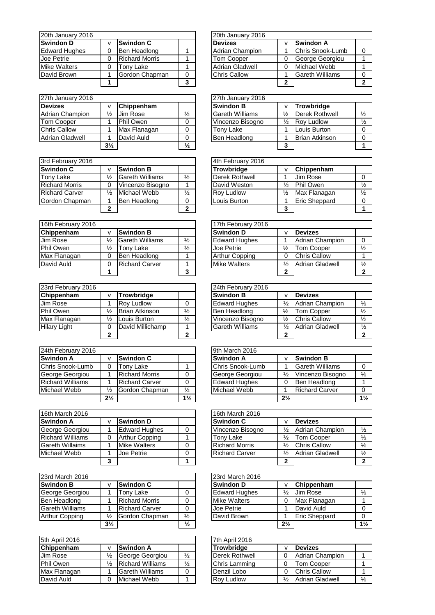| 20th January 2016    |                       |   | 20th January 2016      |          |  |
|----------------------|-----------------------|---|------------------------|----------|--|
| <b>Swindon D</b>     | <b>Swindon C</b>      |   | <b>Devizes</b>         | v        |  |
| <b>Edward Hughes</b> | Ben Headlong          |   | Adrian Champion        | 1        |  |
| Joe Petrie           | <b>Richard Morris</b> |   | <b>Tom Cooper</b>      | 0        |  |
| <b>Mike Walters</b>  | Tony Lake             |   | <b>Adrian Gladwell</b> | $\Omega$ |  |
| David Brown          | Gordon Chapman        |   | <b>Chris Callow</b>    | 1        |  |
|                      |                       | 3 |                        | 2        |  |

| 27th January 2016      |                |              |               | 27th January 2016      |                      |  |
|------------------------|----------------|--------------|---------------|------------------------|----------------------|--|
| <b>Devizes</b>         |                | Chippenham   |               | <b>Swindon B</b>       | v                    |  |
| <b>Adrian Champion</b> | ⅓              | Jim Rose     | $\frac{1}{2}$ | <b>Gareth Williams</b> | $\frac{1}{2}$        |  |
| Tom Cooper             |                | Phil Owen    |               | Vincenzo Bisogno       | $\frac{1}{2}$        |  |
| <b>Chris Callow</b>    |                | Max Flanagan |               | Tony Lake              | 1                    |  |
| <b>Adrian Gladwell</b> |                | David Auld   |               | Ben Headlong           | $\blacktriangleleft$ |  |
|                        | $3\frac{1}{2}$ |              | $\frac{1}{2}$ |                        | -3                   |  |

| 3rd February 2016     |   |                        |               | 4th February 2016 |               |  |
|-----------------------|---|------------------------|---------------|-------------------|---------------|--|
| <b>Swindon C</b>      |   | <b>Swindon B</b>       |               | Trowbridge        | v             |  |
| Tony Lake             | ⅓ | <b>Gareth Williams</b> | $\frac{1}{2}$ | Derek Rothwell    |               |  |
| <b>Richard Morris</b> |   | Vincenzo Bisogno       |               | David Weston      | $\frac{1}{2}$ |  |
| <b>Richard Carver</b> | ⅓ | Michael Webb           | $\frac{1}{2}$ | <b>Rov Ludlow</b> | $\frac{1}{2}$ |  |
| Gordon Chapman        |   | Ben Headlong           |               | Louis Burton      | 1             |  |
|                       |   |                        | າ             |                   | 3             |  |

| 16th February 2016             |   |                        |               | 17th February 2016    |               |                        |  |
|--------------------------------|---|------------------------|---------------|-----------------------|---------------|------------------------|--|
| Chippenham<br><b>Swindon B</b> |   |                        |               | <b>Swindon D</b>      |               | <b>Devizes</b>         |  |
| Jim Rose                       | ⅓ | <b>Gareth Williams</b> | $\frac{1}{2}$ | <b>Edward Hughes</b>  |               | <b>Adrian Champion</b> |  |
| Phil Owen                      | ℅ | Tony Lake              | $\frac{1}{2}$ | Joe Petrie            | $\frac{1}{2}$ | <b>Tom Cooper</b>      |  |
| Max Flanagan                   |   | Ben Headlong           |               | <b>Arthur Copping</b> |               | <b>Chris Callow</b>    |  |
| David Auld                     |   | <b>Richard Carver</b>  |               | <b>Mike Walters</b>   | ⅓             | <b>Adrian Gladwell</b> |  |
|                                |   |                        |               |                       | ◠             |                        |  |

| 23rd February 2016  |               |                       |               | 24th February 2016     |               |                        |  |
|---------------------|---------------|-----------------------|---------------|------------------------|---------------|------------------------|--|
| Chippenham          |               | <b>Trowbridge</b>     |               | <b>Swindon B</b>       |               | <b>Devizes</b>         |  |
| <b>Jim Rose</b>     |               | <b>Rov Ludlow</b>     |               | <b>Edward Hughes</b>   | $\frac{1}{2}$ | Adrian Champion        |  |
| Phil Owen           | ⅓             | <b>Brian Atkinson</b> | $\frac{1}{2}$ | Ben Headlong           | $\frac{1}{2}$ | <b>Tom Copper</b>      |  |
| Max Flanagan        | $\frac{1}{2}$ | Louis Burton          | $\frac{1}{2}$ | Vincenzo Bisogno       | ⅓             | <b>Chris Callow</b>    |  |
| <b>Hilary Light</b> |               | David Millichamp      |               | <b>Gareth Williams</b> | $\frac{1}{2}$ | <b>Adrian Gladwell</b> |  |
|                     | ◠             |                       | ີ             |                        | ◠             |                        |  |

| 24th February 2016      |                |                       |                | 9th March 2016 |                      |                |                        |  |
|-------------------------|----------------|-----------------------|----------------|----------------|----------------------|----------------|------------------------|--|
| <b>Swindon A</b>        |                | <b>Swindon C</b>      |                |                | <b>Swindon A</b>     | ν              | Swindon B              |  |
| Chris Snook-Lumb        |                | Tony Lake             |                |                | Chris Snook-Lumb     |                | <b>Gareth Williams</b> |  |
| George Georgiou         |                | <b>Richard Morris</b> | 0              |                | George Georgiou      | $\frac{1}{2}$  | Vincenzo Bisogno       |  |
| <b>Richard Williams</b> |                | <b>Richard Carver</b> | 0              |                | <b>Edward Hughes</b> | 0              | Ben Headlong           |  |
| Michael Webb            | $\frac{1}{2}$  | Gordon Chapman        | $\frac{1}{2}$  |                | Michael Webb         |                | <b>Richard Carver</b>  |  |
|                         | $2\frac{1}{2}$ |                       | $1\frac{1}{2}$ |                |                      | $2\frac{1}{2}$ |                        |  |

| 16th March 2016         |                       | 16th March 2016       |               |  |
|-------------------------|-----------------------|-----------------------|---------------|--|
| <b>Swindon A</b>        | <b>Swindon D</b>      | <b>Swindon C</b>      | v             |  |
| George Georgiou         | <b>Edward Hughes</b>  | Vincenzo Bisogno      | $\frac{1}{2}$ |  |
| <b>Richard Williams</b> | <b>Arthur Copping</b> | <b>Tony Lake</b>      | $\frac{1}{2}$ |  |
| <b>Gareth Willaims</b>  | <b>Mike Walters</b>   | <b>Richard Morris</b> | $\frac{1}{2}$ |  |
| Michael Webb            | Joe Petrie            | <b>Richard Carver</b> | $\frac{1}{2}$ |  |
|                         |                       |                       | 2             |  |

| 23rd March 2016        |                |                       |               | 23rd March 2016      |                |  |
|------------------------|----------------|-----------------------|---------------|----------------------|----------------|--|
| <b>Swindon B</b>       |                | <b>Swindon C</b>      |               | <b>Swindon D</b>     | v              |  |
| George Georgiou        |                | Tony Lake             |               | <b>Edward Hughes</b> | $\frac{1}{2}$  |  |
| Ben Headlong           |                | <b>Richard Morris</b> |               | <b>Mike Walters</b>  | $\Omega$       |  |
| <b>Gareth Williams</b> |                | <b>Richard Carver</b> |               | Joe Petrie           | $\mathbf 1$    |  |
| Arthur Copping         | ⅓              | Gordon Chapman        | $\frac{1}{2}$ | David Brown          | 1              |  |
|                        | $3\frac{1}{2}$ |                       | $\frac{1}{2}$ |                      | 2 <sup>1</sup> |  |

| 5th April 2016                 |   |                         | 7th April 2016 |                   |   |                        |
|--------------------------------|---|-------------------------|----------------|-------------------|---|------------------------|
| Chippenham<br><b>Swindon A</b> |   |                         |                | <b>Trowbridge</b> |   | <b>Devizes</b>         |
| <b>Jim Rose</b>                | ⅓ | George Georgiou         | $\frac{1}{2}$  | Derek Rothwell    |   | Adrian Champion        |
| Phil Owen                      | ⅓ | <b>Richard Williams</b> | $\frac{1}{2}$  | Chris Lamming     |   | <b>Tom Cooper</b>      |
| Max Flanagan                   |   | <b>Gareth Williams</b>  |                | Denzil Lobo       |   | <b>Chris Callow</b>    |
| David Auld                     |   | Michael Webb            |                | <b>Rov Ludlow</b> | ⅓ | <b>Adrian Gladwell</b> |

|   |                       |   | 20th January 2016      |   |                        |   |
|---|-----------------------|---|------------------------|---|------------------------|---|
| v | <b>Swindon C</b>      |   | <b>Devizes</b>         | v | <b>Swindon A</b>       |   |
| 0 | Ben Headlong          |   | Adrian Champion        |   | Chris Snook-Lumb       |   |
| 0 | <b>Richard Morris</b> |   | Tom Cooper             |   | George Georgiou        |   |
| 0 | Tony Lake             |   | <b>Adrian Gladwell</b> |   | Michael Webb           |   |
|   | Gordon Chapman        |   | <b>Chris Callow</b>    |   | <b>Gareth Williams</b> | 0 |
|   |                       | 3 |                        | າ |                        | っ |

|                |                 |               | 27th January 2016      |   |                       |               |
|----------------|-----------------|---------------|------------------------|---|-----------------------|---------------|
| $\mathsf{v}$   | Chippenham      |               | <b>Swindon B</b>       |   | <b>Trowbridge</b>     |               |
| $\frac{1}{2}$  | <b>Jim Rose</b> | $\frac{1}{2}$ | <b>Gareth Williams</b> | ⅓ | <b>Derek Rothwell</b> | $\frac{1}{2}$ |
|                | Phil Owen       |               | Vincenzo Bisogno       | ⅓ | <b>Rov Ludlow</b>     | $\frac{1}{2}$ |
|                | Max Flanagan    |               | Tonv Lake              |   | Louis Burton          |               |
|                | David Auld      |               | Ben Headlong           |   | <b>Brian Atkinson</b> |               |
| $3\frac{1}{2}$ |                 | $\frac{1}{2}$ |                        | 3 |                       |               |

|                |                        |               | 4th February 2016 |               |                      |               |
|----------------|------------------------|---------------|-------------------|---------------|----------------------|---------------|
| v              | <b>Swindon B</b>       |               | <b>Trowbridge</b> | ٧             | Chippenham           |               |
| $\frac{1}{2}$  | <b>Gareth Williams</b> | $\frac{1}{2}$ | Derek Rothwell    |               | Jim Rose             |               |
| 0              | Vincenzo Bisogno       |               | David Weston      | ⅓             | <b>Phil Owen</b>     | $\frac{1}{2}$ |
| $\frac{1}{2}$  | Michael Webb           | $\frac{1}{2}$ | <b>Rov Ludlow</b> | $\frac{1}{2}$ | Max Flanagan         | $\frac{1}{2}$ |
| 1              | Ben Headlong           | 0             | Louis Burton      |               | <b>Eric Sheppard</b> |               |
| $\overline{2}$ |                        | 2             |                   | 3             |                      |               |

|               |                        |               | 17th February 2016    |               |                        |               |
|---------------|------------------------|---------------|-----------------------|---------------|------------------------|---------------|
| v             | <b>Swindon B</b>       |               | <b>Swindon D</b>      |               | <b>Devizes</b>         |               |
| $\frac{1}{2}$ | <b>Gareth Williams</b> | $\frac{1}{2}$ | <b>Edward Hughes</b>  |               | <b>Adrian Champion</b> |               |
| $\frac{1}{2}$ | Tony Lake              | $\frac{1}{2}$ | Joe Petrie            | $\frac{1}{2}$ | <b>Tom Cooper</b>      | $\frac{1}{2}$ |
| 0             | Ben Headlong           |               | <b>Arthur Copping</b> |               | <b>Chris Callow</b>    |               |
| 0             | <b>Richard Carver</b>  |               | <b>Mike Walters</b>   | ⅓             | <b>Adrian Gladwell</b> | $\frac{1}{2}$ |
| 1             |                        | 3             |                       |               |                        |               |

|                |                       |               | 24th February 2016     |   |                        |               |
|----------------|-----------------------|---------------|------------------------|---|------------------------|---------------|
| v              | <b>Trowbridge</b>     |               | <b>Swindon B</b>       |   | <b>Devizes</b>         |               |
|                | <b>Rov Ludlow</b>     | 0             | <b>Edward Hughes</b>   | ⅓ | <b>Adrian Champion</b> | $\frac{1}{2}$ |
| ⅛              | <b>Brian Atkinson</b> | $\frac{1}{2}$ | Ben Headlong           | ⅓ | Tom Copper             | $\frac{1}{2}$ |
| ⅛              | Louis Burton          | $\frac{1}{2}$ | Vincenzo Bisogno       | ⅓ | <b>Chris Callow</b>    | $\frac{1}{2}$ |
| 0              | David Millichamp      |               | <b>Gareth Williams</b> | ⅛ | <b>Adrian Gladwell</b> | $\frac{1}{2}$ |
| $\overline{2}$ |                       | n             |                        | າ |                        |               |

|                |                       |                | 9th March 2016       |                |                        |                |
|----------------|-----------------------|----------------|----------------------|----------------|------------------------|----------------|
| $\mathbf v$    | <b>Swindon C</b>      |                | <b>Swindon A</b>     | ν              | <b>Swindon B</b>       |                |
| $\Omega$       | Tony Lake             |                | Chris Snook-Lumb     |                | <b>Gareth Williams</b> |                |
|                | <b>Richard Morris</b> |                | George Georgiou      | ⅓              | Vincenzo Bisogno       | $\frac{1}{2}$  |
|                | <b>Richard Carver</b> |                | <b>Edward Hughes</b> |                | Ben Headlong           |                |
| $\frac{1}{2}$  | Gordon Chapman        | $\frac{1}{2}$  | Michael Webb         |                | <b>Richard Carver</b>  |                |
| $2\frac{1}{2}$ |                       | $1\frac{1}{2}$ |                      | $2\frac{1}{2}$ |                        | $1\frac{1}{2}$ |

|   |                       | 16th March 2016       |   |                        |               |
|---|-----------------------|-----------------------|---|------------------------|---------------|
| v | <b>Swindon D</b>      | <b>Swindon C</b>      |   | <b>Devizes</b>         |               |
|   | <b>Edward Hughes</b>  | Vincenzo Bisogno      | ⅓ | <b>Adrian Champion</b> | $\frac{1}{2}$ |
| 0 | <b>Arthur Copping</b> | Tonv Lake             | ⅓ | <b>Tom Cooper</b>      | $\frac{1}{2}$ |
|   | <b>Mike Walters</b>   | <b>Richard Morris</b> | ⅓ | <b>Chris Callow</b>    | $\frac{1}{2}$ |
|   | Joe Petrie            | <b>Richard Carver</b> | ⅓ | <b>Adrian Gladwell</b> | $\frac{1}{2}$ |
| 3 |                       |                       | ∍ |                        |               |

|                |                       |               | 23rd March 2016      |                |                      |               |
|----------------|-----------------------|---------------|----------------------|----------------|----------------------|---------------|
| $\mathsf{v}$   | <b>Swindon C</b>      |               | <b>Swindon D</b>     | ν              | Chippenham           |               |
|                | Tonv Lake             |               | <b>Edward Hughes</b> | $\frac{1}{2}$  | Jim Rose             | $\frac{1}{2}$ |
|                | <b>Richard Morris</b> |               | <b>Mike Walters</b>  |                | Max Flanagan         |               |
|                | <b>Richard Carver</b> |               | Joe Petrie           |                | David Auld           |               |
| $\frac{1}{2}$  | Gordon Chapman        | $\frac{1}{2}$ | David Brown          |                | <b>Eric Sheppard</b> |               |
| $3\frac{1}{2}$ |                       | $\frac{1}{2}$ |                      | $2\frac{1}{2}$ |                      | 11/2          |

|   |                         |               | 7th April 2016        |   |                        |               |
|---|-------------------------|---------------|-----------------------|---|------------------------|---------------|
| v | <b>Swindon A</b>        |               | <b>Trowbridge</b>     |   | <b>Devizes</b>         |               |
| ⅓ | George Georgiou         | $\frac{1}{2}$ | <b>Derek Rothwell</b> |   | Adrian Champion        |               |
| ⅛ | <b>Richard Williams</b> | $\frac{1}{2}$ | Chris Lamming         |   | <b>Tom Cooper</b>      |               |
|   | <b>Gareth Williams</b>  |               | Denzil Lobo           |   | <b>Chris Callow</b>    |               |
| 0 | Michael Webb            |               | <b>Rov Ludlow</b>     | ⅓ | <b>Adrian Gladwell</b> | $\frac{1}{2}$ |